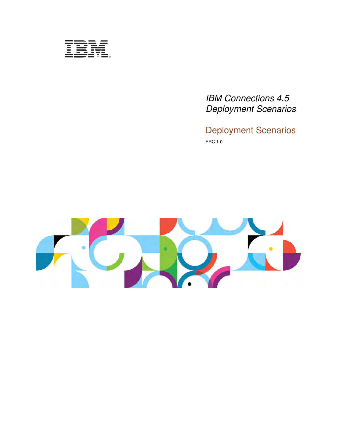| and the state of the state of the       | $\overline{\phantom{a}}$                                   |
|-----------------------------------------|------------------------------------------------------------|
| $\sim$                                  | _                                                          |
| and the state of the state of the       | _                                                          |
| and the state of the con-               | $\sim$                                                     |
| $\overline{\phantom{a}}$<br>a a shekara | <b>Contract Contract Contract Contract</b><br>a and a<br>- |
|                                         | _____                                                      |
|                                         | $\overline{\phantom{a}}$                                   |
|                                         |                                                            |

*IBM Connections 4.5 Deployment Scenarios*

Deployment Scenarios ERC 1.0

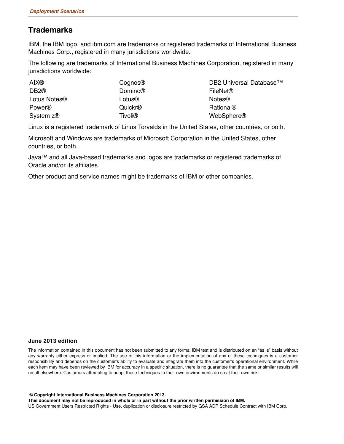### **Trademarks**

IBM, the IBM logo, and ibm.com are trademarks or registered trademarks of International Business Machines Corp., registered in many jurisdictions worldwide.

The following are trademarks of International Business Machines Corporation, registered in many jurisdictions worldwide:

| <b>AIX®</b>                  | Cognos <sup>®</sup> | DB2 Universal Database™ |
|------------------------------|---------------------|-------------------------|
| DB <sub>2</sub> <sup>®</sup> | Domino®             | FileNet®                |
| Lotus Notes <sup>®</sup>     | Lotus®              | <b>Notes®</b>           |
| Power <sup>®</sup>           | Quickr <sup>®</sup> | Rational®               |
| System z <sup>®</sup>        | Tivoli®             | WebSphere®              |

Linux is a registered trademark of Linus Torvalds in the United States, other countries, or both.

Microsoft and Windows are trademarks of Microsoft Corporation in the United States, other countries, or both.

Java™ and all Java-based trademarks and logos are trademarks or registered trademarks of Oracle and/or its affiliates.

Other product and service names might be trademarks of IBM or other companies.

#### **June 2013 edition**

The information contained in this document has not been submitted to any formal IBM test and is distributed on an "as is" basis without any warranty either express or implied. The use of this information or the implementation of any of these techniques is a customer responsibility and depends on the customer's ability to evaluate and integrate them into the customer's operational environment. While each item may have been reviewed by IBM for accuracy in a specific situation, there is no guarantee that the same or similar results will result elsewhere. Customers attempting to adapt these techniques to their own environments do so at their own risk.

 **© Copyright International Business Machines Corporation 2013.**

**This document may not be reproduced in whole or in part without the prior written permission of IBM.**

US Government Users Restricted Rights - Use, duplication or disclosure restricted by GSA ADP Schedule Contract with IBM Corp.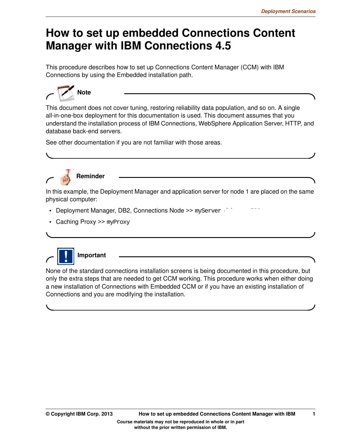# **How to set up embedded Connections Content Manager with IBM Connections 4.5**

This procedure describes how to set up Connections Content Manager (CCM) with IBM Connections by using the Embedded installation path.



This document does not cover tuning, restoring reliability data population, and so on. A single all-in-one-box deployment for this documentation is used. This document assumes that you understand the installation process of IBM Connections, WebSphere Application Server, HTTP, and database back-end servers.

See other documentation if you are not familiar with those areas.



**Reminder**

In this example, the Deployment Manager and application server for node 1 are placed on the same physical computer:

- Deployment Manager, DB2, Connections Node >> myServer download
- Caching Proxy >> myProxy



None of the standard connections installation screens is being documented in this procedure, but only the extra steps that are needed to get CCM working. This procedure works when either doing a new installation of Connections with Embedded CCM or if you have an existing installation of Connections and you are modifying the installation.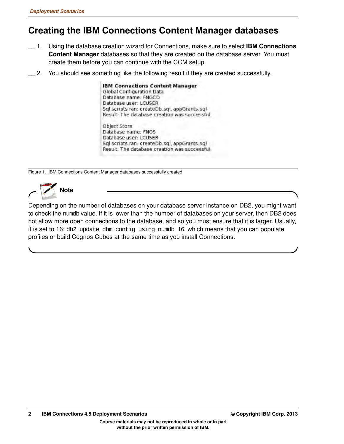# **Creating the IBM Connections Content Manager databases**

- \_\_ 1. Using the database creation wizard for Connections, make sure to select **IBM Connections Content Manager** databases so that they are created on the database server. You must create them before you can continue with the CCM setup.
- \_\_ 2. You should see something like the following result if they are created successfully.

**IBM Connections Content Manager** Global Configuration Data Database name: FNGCD Database user: LCUSER Sql scripts ran: createDb.sql, appGrants.sql Result: The database creation was successful. Object Store Database name; FNOS

Database user: LCUSER Sql scripts ran: createDb.sql, appGrants.sql Result: The database creation was successful

Figure 1. IBM Connections Content Manager databases successfully created



Depending on the number of databases on your database server instance on DB2, you might want to check the numdb value. If it is lower than the number of databases on your server, then DB2 does not allow more open connections to the database, and so you must ensure that it is larger. Usually, it is set to 16: db2 update dbm config using numdb 16, which means that you can populate profiles or build Cognos Cubes at the same time as you install Connections.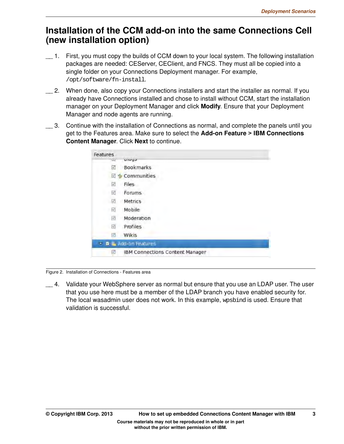### **Installation of the CCM add-on into the same Connections Cell (new installation option)**

- \_\_ 1. First, you must copy the builds of CCM down to your local system. The following installation packages are needed: CEServer, CEClient, and FNCS. They must all be copied into a single folder on your Connections Deployment manager. For example, /opt/software/fn-install.
- \_\_ 2. When done, also copy your Connections installers and start the installer as normal. If you already have Connections installed and chose to install without CCM, start the installation manager on your Deployment Manager and click **Modify**. Ensure that your Deployment Manager and node agents are running.
- 3. Continue with the installation of Connections as normal, and complete the panels until you get to the Features area. Make sure to select the **Add-on Feature > IBM Connections Content Manager**. Click **Next** to continue.

| <b>Features</b>                    |                                        |  |
|------------------------------------|----------------------------------------|--|
|                                    | pioga                                  |  |
| V                                  | Bookmarks                              |  |
| $\prec$                            | Communities                            |  |
| ø                                  | Files                                  |  |
| ☑                                  | Forums                                 |  |
| ø                                  | Metrics                                |  |
| 図                                  | Mobile                                 |  |
| 図                                  | Moderation                             |  |
| 図                                  | Profiles                               |  |
| $\left\vert \mathbf{v}\right\vert$ | Wikis                                  |  |
|                                    | <b>D &amp; Add-on Features</b>         |  |
| $\overline{\mathbf{v}}$            | <b>IBM Connections Content Manager</b> |  |

Figure 2. Installation of Connections - Features area

\_\_ 4. Validate your WebSphere server as normal but ensure that you use an LDAP user. The user that you use here must be a member of the LDAP branch you have enabled security for. The local wasadmin user does not work. In this example, wpsbind is used. Ensure that validation is successful.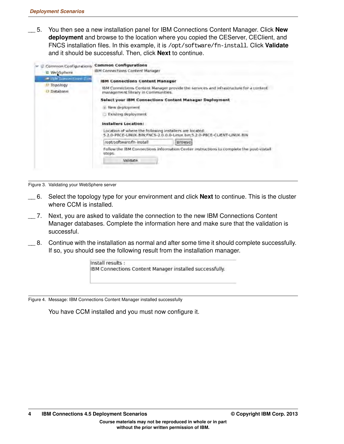\_\_ 5. You then see a new installation panel for IBM Connections Content Manager. Click **New deployment** and browse to the location where you copied the CEServer, CEClient, and FNCS installation files. In this example, it is /opt/software/fn-install. Click **Validate** and it should be successful. Then, click **Next** to continue.

| Common Configurations<br><b>E</b> WebSphere          | <b>Common Configurations</b><br>IBM Connections Content Manager                                                                                                                                                                                                                                         |
|------------------------------------------------------|---------------------------------------------------------------------------------------------------------------------------------------------------------------------------------------------------------------------------------------------------------------------------------------------------------|
| - ITM Longactions Con<br>Topology<br><b>Database</b> | <b>IBM Connections Content Manager</b><br>IBM Connections Content Manager provide the services and infrastructure for a content<br>management library in Communities.<br>Select your IBM Connections Content Manager Deployment<br>New deployment<br>Existing deployment<br><b>Installers Location:</b> |
|                                                      | Location of where the following installers are located:<br>5.2.0-P8CE-LINUX.BIN:FNCS-2.0.0.0-Linux.bin:5.2.0-P8CE-CLIENT-LINUX.BIN                                                                                                                                                                      |
|                                                      | /opt/software/fn-install<br><b>Browsel</b>                                                                                                                                                                                                                                                              |
|                                                      | Follow the IBM Connections Information Center instructions to complete the post-install<br>steps.                                                                                                                                                                                                       |
|                                                      | Validate                                                                                                                                                                                                                                                                                                |

Figure 3. Validating your WebSphere server

- \_\_ 6. Select the topology type for your environment and click **Next** to continue. This is the cluster where CCM is installed.
- \_\_ 7. Next, you are asked to validate the connection to the new IBM Connections Content Manager databases. Complete the information here and make sure that the validation is successful.
- \_\_ 8. Continue with the installation as normal and after some time it should complete successfully. If so, you should see the following result from the installation manager.



Figure 4. Message: IBM Connections Content Manager installed successfully

You have CCM installed and you must now configure it.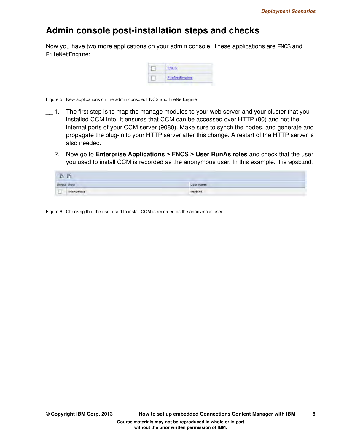### Admin console post-installation steps and checks

Now you have two more applications on your admin console. These applications are FNCS and FileNetEngine:



Figure 5. New applications on the admin console: FNCS and FileNetEngine

- $\Box$  1. The first step is to map the manage modules to your web server and your cluster that you installed CCM into. It ensures that CCM can be accessed over HTTP (80) and not the internal ports of your CCM server (9080). Make sure to synch the nodes, and generate and propagate the plug-in to your HTTP server after this change. A restart of the HTTP server is also needed.
- \_\_ 2. Now go to **Enterprise Applications > FNCS > User RunAs roles** and check that the user you used to install CCM is recorded as the anonymous user. In this example, it is wpsbind.

| 看看          |                  |           |
|-------------|------------------|-----------|
| Select Role |                  | User name |
|             | $\Box$ Anonymous | wasbind   |

Figure 6. Checking that the user used to install CCM is recorded as the anonymous user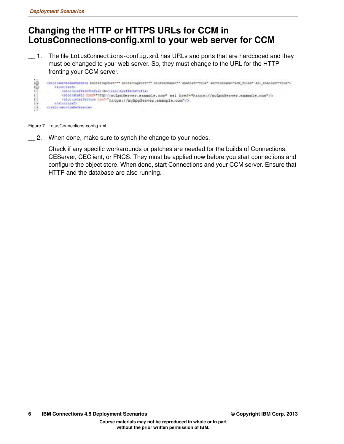### **Changing the HTTP or HTTPS URLs for CCM in LotusConnections-config.xml to your web server for CCM**

\_\_ 1. The file LotusConnections-config.xml has URLs and ports that are hardcoded and they must be changed to your web server. So, they must change to the URL for the HTTP fronting your CCM server.

```
清明
      <bloctsstvienEsferstenes bootstrapHost="" bootstrapPort="" clusterHame="" anabled="true" serviceHame="ecm_files" sal_enabled="true">
          (slocitref)
              <slocistatic href="http://myAppServer.example.com" ssl href="https://myAppServer.example.com"/><br><slocisterService href="https://myAppServer.example.com"/>
ı
           </albothref>
       </alboraeryicebatecance>
```
Figure 7. LotusConnections-config.xml

\_\_ 2. When done, make sure to synch the change to your nodes.

Check if any specific workarounds or patches are needed for the builds of Connections, CEServer, CEClient, or FNCS. They must be applied now before you start connections and configure the object store. When done, start Connections and your CCM server. Ensure that HTTP and the database are also running.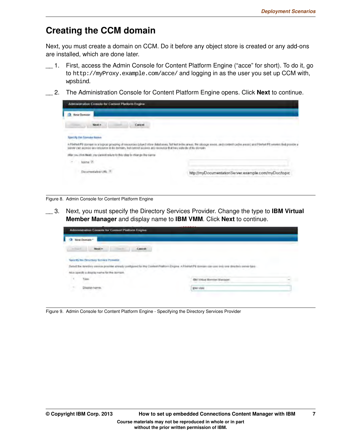## **Creating the CCM domain**

Next, you must create a domain on CCM. Do it before any object store is created or any add-ons are installed, which are done later.

- \_\_ 1. First, access the Admin Console for Content Platform Engine ("acce" for short). To do it, go to http://myProxy.example.com/acce/ and logging in as the user you set up CCM with, wpsbind.
- \_\_ 2. The Administration Console for Content Platform Engine opens. Click **Next** to continue.

| Administration Comole for Content Pladorm Engine-<br><b>Rear Domain</b>                                               |                                                      |
|-----------------------------------------------------------------------------------------------------------------------|------------------------------------------------------|
| Cancel                                                                                                                |                                                      |
| MON FW Falchille Balme                                                                                                |                                                      |
| san is a logical prosping of resourc<br>access any resource is by domain, but comto access any resource that two vol- |                                                      |
|                                                                                                                       |                                                      |
| clies Next: you cannot return to this clap to change the name                                                         |                                                      |
|                                                                                                                       |                                                      |
| Discurrential                                                                                                         | http://myDocumentationServer.example.com/myDoc/topic |

Figure 8. Admin Console for Content Platform Engine

\_\_ 3. Next, you must specify the Directory Services Provider. Change the type to **IBM Virtual Member Manager** and display name to **IBM VMM**. Click **Next** to continue.

|            | New Domain *                                                    |        |                                |  |
|------------|-----------------------------------------------------------------|--------|--------------------------------|--|
| in frauch. | <b>Next &gt;</b>                                                | Cancel |                                |  |
|            |                                                                 |        |                                |  |
|            | <b>Specify Imm Directory Service Provider</b>                   |        |                                |  |
|            | Select the durecisty awaics printine already configured for the |        |                                |  |
|            | Also apecify a display name for the domain.                     |        |                                |  |
|            | Type:                                                           |        | IRE! Virtuoi Marcosar Manazena |  |

Figure 9. Admin Console for Content Platform Engine - Specifying the Directory Services Provider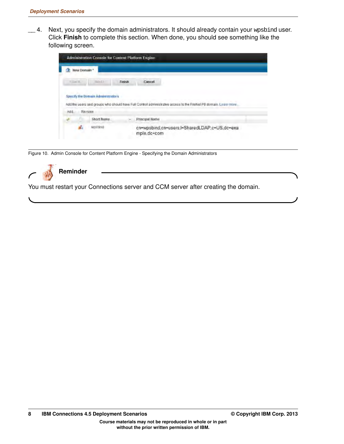\_\_ 4. Next, you specify the domain administrators. It should already contain your wpsbind user. Click **Finish** to complete this section. When done, you should see something like the following screen.

| <b>Balled Live</b><br>Finish.<br>$=$ Lay K.<br>Cancel<br><b>Remove</b><br>Add.<br>Short Ramo<br>Principal Name                                         |  |  |  |
|--------------------------------------------------------------------------------------------------------------------------------------------------------|--|--|--|
| Specify the Domain Administrators<br>Add the users and groups who should have Full Control administrative access to the FileNet PB domain. Learn more. |  |  |  |
|                                                                                                                                                        |  |  |  |
|                                                                                                                                                        |  |  |  |
|                                                                                                                                                        |  |  |  |
|                                                                                                                                                        |  |  |  |

Figure 10. Admin Console for Content Platform Engine - Specifying the Domain Administrators

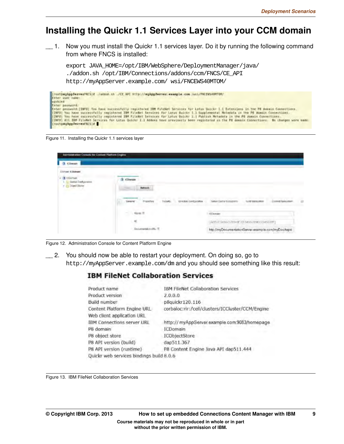### **Installing the Quickr 1.1 Services Layer into your CCM domain**

\_\_ 1. Now you must install the Quickr 1.1 services layer. Do it by running the following command from where FNCS is installed:

export JAVA\_HOME=/opt/IBM/WebSphere/DeploymentManager/java/ ./addon.sh /opt/IBM/Connections/addons/ccm/FNCS/CE\_API



Figure 11. Installing the Quickr 1.1 services layer

| <b>Q</b> chesan                                   |                                                                      |                                                                                 |          |
|---------------------------------------------------|----------------------------------------------------------------------|---------------------------------------------------------------------------------|----------|
| <b>Climast Killenam</b>                           |                                                                      |                                                                                 |          |
| <b>3</b> Icoman<br>$\sim$<br>Daytiat Oran garainm | <b>CDirole</b>                                                       |                                                                                 |          |
|                                                   | Betravt.<br><b>Side of the Contract</b>                              |                                                                                 |          |
|                                                   |                                                                      |                                                                                 |          |
|                                                   | FirstnAffield<br><b>Sayluttle</b><br><b>Elizables</b> Gardigattation | <b>Tierker Starry Business In</b><br>TAXALIBUS<br><b>Intellect Rapid Letter</b> | $\alpha$ |
|                                                   | $\rightarrow$<br><b>Haven</b> (R)                                    | <b>ICCA make</b>                                                                |          |
|                                                   | Æ                                                                    | ARE (C3666-1) 789-1E 12-3455-7890 (2345678F)                                    |          |
|                                                   | Datamakkins PL 1<br>Y.                                               | http://myDocumentationServer.example.com/myDoc/topid                            |          |

Figure 12. Administration Console for Content Platform Engine

\_\_ 2. You should now be able to restart your deployment. On doing so, go to http://myAppServer.example.com/dm and you should see something like this result:

### **IBM FileNet Collaboration Services**

| Product name                             | IBM FileNet Collaboration Services               |
|------------------------------------------|--------------------------------------------------|
| Product version                          | 2.0.0.0                                          |
| Build number                             | p8quickr120.116                                  |
| Content Platform Engine URL              | corbaloc:rir:/cell/clusters/ICCluster/CCM/Engine |
| Web client application URL               |                                                  |
| <b>IBM Connections server URL</b>        | http:// myAppServer.example.com.9083/homepage    |
| P8 domain                                | <b>ICDomain</b>                                  |
| P8 object store                          | ICObjectStore                                    |
| P8 API version (build)                   | dap511.367                                       |
| P8 API version (runtime)                 | P8 Content Engine Java API dap511.444            |
| Quickr web services bindings build 8.0.6 |                                                  |

Figure 13. IBM FileNet Collaboration Services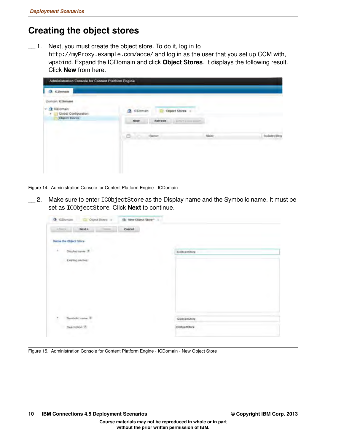### **Creating the object stores**

\_\_ 1. Next, you must create the object store. To do it, log in to http://myProxy.example.com/acce/ and log in as the user that you set up CCM with, wpsbind. Expand the ICDomain and click **Object Stores**. It displays the following result. Click **New** from here.

| <b>3</b> KDomain<br>Domain ICDonuel                 |                                                                                                                |       |                     |
|-----------------------------------------------------|----------------------------------------------------------------------------------------------------------------|-------|---------------------|
| ChiCDomain<br>Global Configuration<br>Object Stores | <b>ICDomain</b><br><b>Object Stores</b><br>o.<br><b>Schech</b><br><b>Mont</b><br><b>AUTO T-4 cours account</b> |       |                     |
|                                                     | O.<br><b>Marine</b><br><b>Base</b>                                                                             | Slate | <b>Incluted Reg</b> |

Figure 14. Administration Console for Content Platform Engine - ICDomain

\_\_ 2. Make sure to enter ICObjectStore as the Display name and the Symbolic name. It must be set as ICObjectStore. Click **Next** to continue.

| $% \left( \left\vert \psi _{i}\right\rangle \right)$ theorem<br>ASHOCLI I<br><b>Separate</b> | Cancel |                      |  |
|----------------------------------------------------------------------------------------------|--------|----------------------|--|
| <b>Name the Object Store</b>                                                                 |        |                      |  |
| ¥<br>Display trame. 37                                                                       |        | <b>JOObjectStore</b> |  |
| Existing names:                                                                              |        |                      |  |
|                                                                                              |        |                      |  |
|                                                                                              |        |                      |  |
|                                                                                              |        |                      |  |
|                                                                                              |        |                      |  |
|                                                                                              |        |                      |  |
|                                                                                              |        |                      |  |
| Syntadic name 77<br>÷                                                                        |        | <b>IDDISVISTORY</b>  |  |
| Dearpthon: 3                                                                                 |        | (CObjectDtore)       |  |

Figure 15. Administration Console for Content Platform Engine - ICDomain - New Object Store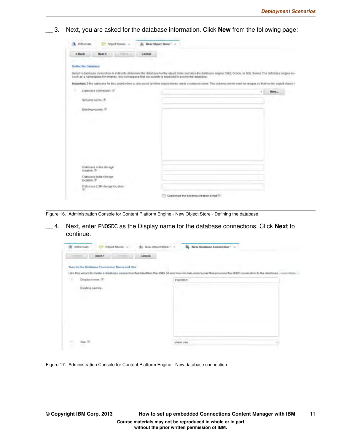**EXEMPT 3.** Next, you are asked for the database information. Click **New** from the following page:

| * liack                          | <b>NAKLY</b>               | . Times | Cancel |                                                                                                      |                                                                                                                                                                          |      |
|----------------------------------|----------------------------|---------|--------|------------------------------------------------------------------------------------------------------|--------------------------------------------------------------------------------------------------------------------------------------------------------------------------|------|
|                                  |                            |         |        |                                                                                                      |                                                                                                                                                                          |      |
|                                  |                            |         |        |                                                                                                      |                                                                                                                                                                          |      |
| Define the Databaue              |                            |         |        |                                                                                                      |                                                                                                                                                                          |      |
|                                  |                            |         |        | such as a namespace for indexes. Any mamespace that you specify is expected to existin the database. | liered a database connection to indirectly determine the database for the stilled shee and also the database engine: DB2, Dradle, or SQL Server. The database engine un- |      |
|                                  |                            |         |        |                                                                                                      | Important: If the database for this noted store is also used by other object stores, enter a schema name. The schema name ment be resigne as that no two object shows is |      |
|                                  | Databilité connection (if) |         |        |                                                                                                      | ٠                                                                                                                                                                        | fame |
|                                  | Schema name: (8)           |         |        |                                                                                                      |                                                                                                                                                                          |      |
|                                  | Existing names 2           |         |        |                                                                                                      |                                                                                                                                                                          |      |
|                                  |                            |         |        |                                                                                                      |                                                                                                                                                                          |      |
|                                  |                            |         |        |                                                                                                      |                                                                                                                                                                          |      |
|                                  |                            |         |        |                                                                                                      |                                                                                                                                                                          |      |
|                                  |                            |         |        |                                                                                                      |                                                                                                                                                                          |      |
|                                  |                            |         |        |                                                                                                      |                                                                                                                                                                          |      |
|                                  |                            |         |        |                                                                                                      |                                                                                                                                                                          |      |
|                                  |                            |         |        |                                                                                                      |                                                                                                                                                                          |      |
|                                  |                            |         |        |                                                                                                      |                                                                                                                                                                          |      |
| tocation (I)                     | Outstrase Index slarage    |         |        |                                                                                                      |                                                                                                                                                                          |      |
|                                  | Databane fabia shirage     |         |        |                                                                                                      |                                                                                                                                                                          |      |
| <b>Idcation</b> , <sup>(8)</sup> |                            |         |        |                                                                                                      |                                                                                                                                                                          |      |

Figure 16. Administration Console for Content Platform Engine - New Object Store - Defining the database

\_\_ 4. Next, enter FNOSDC as the Display name for the database connections. Click **Next** to continue.

| <b>Limited</b><br>NEXT>                       | Cancel                                                                                                                                                                   |  |
|-----------------------------------------------|--------------------------------------------------------------------------------------------------------------------------------------------------------------------------|--|
| Specify the Octobene Connection Name and Site |                                                                                                                                                                          |  |
|                                               | Use this within the create a initiatione connection that liberates the JNDI XA and non-XA data source pair that provides the JDBC connection to the database. Learn mure |  |
| ź<br>Display manue.                           | FNORDO                                                                                                                                                                   |  |
| Existing names.                               |                                                                                                                                                                          |  |
|                                               |                                                                                                                                                                          |  |
|                                               |                                                                                                                                                                          |  |
|                                               |                                                                                                                                                                          |  |

Figure 17. Administration Console for Content Platform Engine - New database connection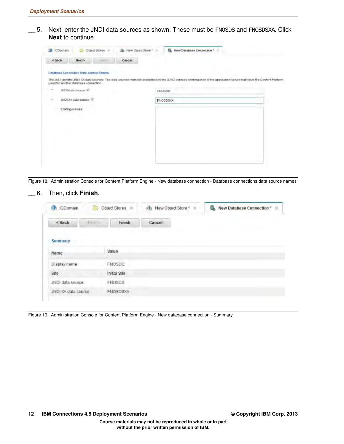\_\_ 5. Next, enter the JNDI data sources as shown. These must be FNOSDS and FNOSDSXA. Click **Next** to continue.



Figure 18. Administration Console for Content Platform Engine - New database connection - Database connections data source names

#### \_\_ 6. Then, click **Finish**.

| <b>ICDomain</b>         | Object Stores & | New Object Store * ><br>陣 | New Database Connection * X |
|-------------------------|-----------------|---------------------------|-----------------------------|
| $  \vec{p}  $<br>< Back | Finish          | Cancel                    |                             |
| <b>Summary</b>          |                 |                           |                             |
| Name                    | Value           |                           |                             |
| Display name            | FNOSDC          |                           |                             |
| Site                    | Initial Site    |                           |                             |
| JNDI data source        | <b>FNOSDS</b>   |                           |                             |
| JNDI XA data source     | <b>FNOSDSXA</b> |                           |                             |

Figure 19. Administration Console for Content Platform Engine - New database connection - Summary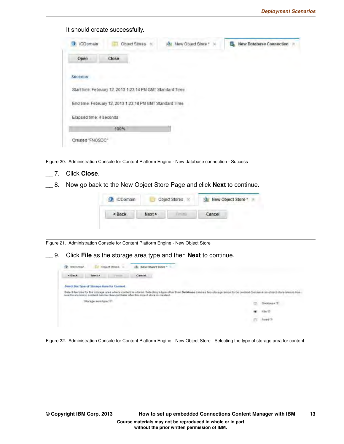| <b>ICDomain</b>         | Object Stores                                               | New Object Store * X | New Database Connection |
|-------------------------|-------------------------------------------------------------|----------------------|-------------------------|
| Open                    | Close                                                       |                      |                         |
| Success                 |                                                             |                      |                         |
|                         | Start firme: February 12, 2013 1 23:14 PM GMT Standard Time |                      |                         |
|                         | End time: February 12, 2013 1:23:18 PM GMT Standard Time    |                      |                         |
| Elapsed time: 4 seconds |                                                             |                      |                         |
|                         |                                                             |                      |                         |

Figure 20. Administration Console for Content Platform Engine - New database connection - Success

\_\_ 7. Click **Close**. \_\_ 8. Now go back to the New Object Store Page and click **Next** to continue.

Figure 21. Administration Console for Content Platform Engine - New Object Store

\_\_ 9. Click **File** as the storage area type and then **Next** to continue.

| <b>SCOHLINE</b> |                                            | <b>Leur Church Store</b>                                                                                  |  |
|-----------------|--------------------------------------------|-----------------------------------------------------------------------------------------------------------|--|
| <b>A Stark</b>  |                                            | Cancel                                                                                                    |  |
|                 | Searct the Type of Storage Area for Coment |                                                                                                           |  |
|                 |                                            | Delect the type for the office grea where circhect is stored. Belecting a type other than Database calibe |  |
|                 |                                            | use for incoming contant can be changed taler after the object store is created.                          |  |
|                 |                                            |                                                                                                           |  |
|                 |                                            |                                                                                                           |  |

Figure 22. Administration Console for Content Platform Engine - New Object Store - Selecting the type of storage area for content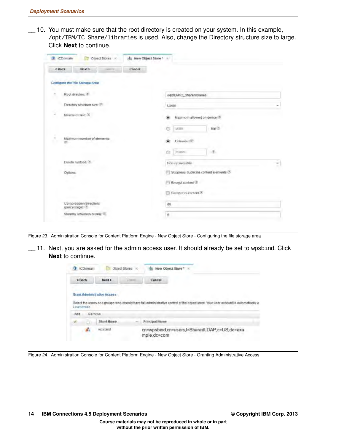\_\_ 10. You must make sure that the root directory is created on your system. In this example, /opt/IBM/IC\_Share/libraries is used. Also, change the Directory structure size to large. Click **Next** to continue.

| < Back   | Nax1 ><br>$m=3$                       | Cancel |                                                                      |   |
|----------|---------------------------------------|--------|----------------------------------------------------------------------|---|
|          | Configure the File Storage Area       |        |                                                                      |   |
|          | Root directory, 171                   |        | /opt/BM/IC_Chare/libraries                                           |   |
|          | Directory structure size: 7           |        | Large                                                                |   |
|          | Maxmum size: (1)                      |        | Maximum allowed on device 10<br>v.<br><b>BODO</b><br>MH <sub>6</sub> |   |
| (2)      | Maximum number of elements:           |        | Unfirmled <sup>(1)</sup><br>25000<br>市<br>C.                         |   |
|          | Delete method. (2)                    |        | Non-recoverable                                                      | ť |
| Options: |                                       |        | Suppress duplicate content elements (7)                              |   |
|          |                                       |        | Encrypt content 2                                                    |   |
|          |                                       |        | Compress content?                                                    |   |
|          | Compression threshold<br>(percentage) |        | 80                                                                   |   |
|          | Standily activation program           |        | $\blacksquare$                                                       |   |

Figure 23. Administration Console for Content Platform Engine - New Object Store - Configuring the file storage area

\_\_ 11. Next, you are asked for the admin access user. It should already be set to wpsbind. Click **Next** to continue.

| <b>ICDomain</b> |                              | Object Stores | New Object Store "<br>$\mathcal{L}$                                                    |
|-----------------|------------------------------|---------------|----------------------------------------------------------------------------------------|
| < Back          | Next >                       | $+3111230$    | Cancel                                                                                 |
|                 | Grant Administrative Access- |               |                                                                                        |
| Learn more      |                              |               | Select the users and groups who should have full administrative contr<br>15 automatica |
| Remove<br>みのけー  |                              |               |                                                                                        |
|                 | Short Bame.                  |               | Principal Name                                                                         |

Figure 24. Administration Console for Content Platform Engine - New Object Store - Granting Administrative Access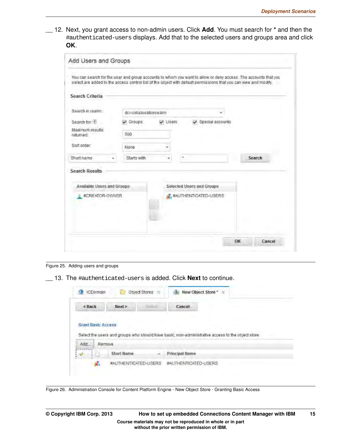$\_\_$  12. Next, you grant access to non-admin users. Click Add. You must search for  $*$  and then the #authenticated-users displays. Add that to the selected users and groups area and click **OK**.

| select are added to the access control list of the object with default permissions that you can view and modify. |                       |       |                           |                        |        |
|------------------------------------------------------------------------------------------------------------------|-----------------------|-------|---------------------------|------------------------|--------|
| Search Criteria                                                                                                  |                       |       |                           |                        |        |
| Search in realm:                                                                                                 | dc=collaborationrealm |       |                           |                        |        |
| Search for: 2                                                                                                    | $\sqrt{G}$ Groups     | Users |                           | Special accounts       |        |
| Maximum results<br>returned                                                                                      | 500                   |       |                           |                        |        |
| Sort order                                                                                                       | None                  |       |                           |                        |        |
| Short name                                                                                                       | Starts with           | ÷     |                           |                        | Search |
| <b>Search Results</b><br><b>Available Users and Groups</b>                                                       |                       |       | Selected Users and Groups |                        |        |
| #CREATOR-OWNER                                                                                                   |                       |       |                           | # #AUTHENTICATED-USERS |        |

Figure 25. Adding users and groups

\_\_ 13. The #authenticated-users is added. Click **Next** to continue.



Figure 26. Administration Console for Content Platform Engine - New Object Store - Granting Basic Access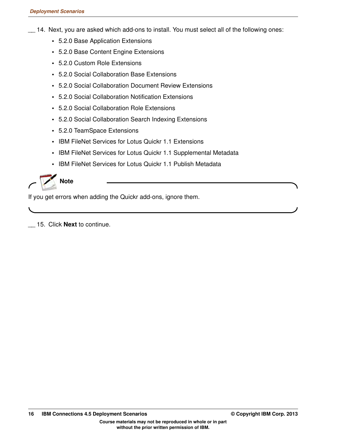- \_\_ 14. Next, you are asked which add-ons to install. You must select all of the following ones:
	- **•** 5.2.0 Base Application Extensions
	- **•** 5.2.0 Base Content Engine Extensions
	- **•** 5.2.0 Custom Role Extensions
	- **•** 5.2.0 Social Collaboration Base Extensions
	- **•** 5.2.0 Social Collaboration Document Review Extensions
	- **•** 5.2.0 Social Collaboration Notification Extensions
	- **•** 5.2.0 Social Collaboration Role Extensions
	- **•** 5.2.0 Social Collaboration Search Indexing Extensions
	- **•** 5.2.0 TeamSpace Extensions
	- **•** IBM FileNet Services for Lotus Quickr 1.1 Extensions
	- **•** IBM FileNet Services for Lotus Quickr 1.1 Supplemental Metadata
	- **•** IBM FileNet Services for Lotus Quickr 1.1 Publish Metadata



If you get errors when adding the Quickr add-ons, ignore them.

\_\_ 15. Click **Next** to continue.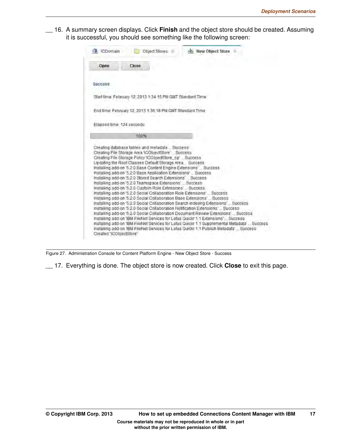$\_\_$  16. A summary screen displays. Click **Finish** and the object store should be created. Assuming it is successful, you should see something like the following screen:

| CDomain                                                    |       |               |                             |  |
|------------------------------------------------------------|-------|---------------|-----------------------------|--|
|                                                            |       | Object Stores | <b>Als</b> New Object Store |  |
| Open                                                       | Close |               |                             |  |
| <b>Success</b>                                             |       |               |                             |  |
| Stad time, February 12, 2013 1:34: 15 PM GMT Standard Time |       |               |                             |  |
| End time: February 12, 2013 1:36:18 PM GMT Standard Time   |       |               |                             |  |
| Elapsed time. 124 seconds                                  |       |               |                             |  |
|                                                            |       |               |                             |  |
| Creating database tables and metadata _ Success            | 100%  |               |                             |  |

Figure 27. Administration Console for Content Platform Engine - New Object Store - Success

\_\_ 17. Everything is done. The object store is now created. Click **Close** to exit this page.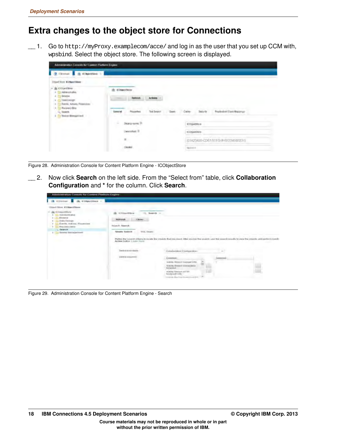## **Extra changes to the object store for Connections**

 $\Box$  1. Go to http://myProxy.examplecom/acce/ and log in as the user that you set up CCM with, wpsbind. Select the object store. The following screen is displayed.

| Of interest of the competitive to                                                                                       |                                                |                                                       |
|-------------------------------------------------------------------------------------------------------------------------|------------------------------------------------|-------------------------------------------------------|
| Ottod filter KONsertAker                                                                                                |                                                |                                                       |
| and in the company<br>+ IN COVERING<br>Il Altresonatio.                                                                 | <b>COGNOTRIES</b><br>w                         |                                                       |
| <b>Groups</b><br>٠<br><b>CIANE Design</b><br>$\alpha$                                                                   | Arkans<br><b>Cold</b>                          |                                                       |
| Eyerik, Achara, Primeirer:<br>٠<br><b>Reisenci Bloy</b><br>$\mathbf{z}$<br><b>SHART</b><br><b>Texas Mercuriand</b><br>٠ | Properties<br><b>Taxt Bacauck</b><br>Genevinal | Replaced Clark Majoran<br><b>Technology</b><br>Castra |
| state of the code                                                                                                       | ٤<br>Didn't your ?                             | <b>KOSHARUS</b>                                       |
|                                                                                                                         | Description: 31                                | ACCIDENTATION                                         |
|                                                                                                                         | $\mathbb{R}$                                   | (01A23450-CD67/IEFG-9H012346017231)                   |
|                                                                                                                         | $_{OME}$                                       | <b>National</b>                                       |

Figure 28. Administration Console for Content Platform Engine - ICObjectStore

\_\_ 2. Now click **Search** on the left side. From the "Select from" table, click **Collaboration Configuration** and **\*** for the column. Click **Search**.

| Administration Concrete for Coment Platfoor Engine-                                                                                                                                         |                                                                                                                                                                                                                                                                                                                                                                                       |                                                                                                                                                                                     |                   |
|---------------------------------------------------------------------------------------------------------------------------------------------------------------------------------------------|---------------------------------------------------------------------------------------------------------------------------------------------------------------------------------------------------------------------------------------------------------------------------------------------------------------------------------------------------------------------------------------|-------------------------------------------------------------------------------------------------------------------------------------------------------------------------------------|-------------------|
| <b>Sk Ciliciani</b><br>the eliminations of                                                                                                                                                  |                                                                                                                                                                                                                                                                                                                                                                                       |                                                                                                                                                                                     |                   |
| Clinical Union ACORAMIC Bloom                                                                                                                                                               |                                                                                                                                                                                                                                                                                                                                                                                       |                                                                                                                                                                                     |                   |
| the Cinquestration<br>AUDIOISTICS GENE<br><b>Drowne</b><br><b>Daly Denge</b><br>Earnist, Arkinsa, Proceeded.<br><b><i><u>Hidespanics</u></i></b> kinets<br>Search<br>Gewich Manualpotterett | de <i>ICOnsettion</i><br>Saarch -<br><b>L'Armer</b><br><b>BURNISH</b><br>Thianchi, Sasmult.<br><b>The American</b><br>WGC, Cheatry<br><b>Newarks Selection</b><br>Plyme the search orders to point the USA Check first University and University Adapt you can don't be a marrier care that plannife country \$3 years. The USA constitution density<br>Action button 3 icens (recor- |                                                                                                                                                                                     | <b>STATISTICS</b> |
|                                                                                                                                                                                             | <b>Transville Brown Sauce</b>                                                                                                                                                                                                                                                                                                                                                         | Gonalsolatesi Crietique (Arie)                                                                                                                                                      |                   |
|                                                                                                                                                                                             | <b>USING COLLAPSION</b>                                                                                                                                                                                                                                                                                                                                                               | Council<br>teams Dealer Genericht<br>Article Smith Ganeration<br><b>Scientiste</b><br>HUNG STAAT HTTP:<br><b><i><u>Entrack USS</u></i></b><br>and the company's company's company's |                   |

Figure 29. Administration Console for Content Platform Engine - Search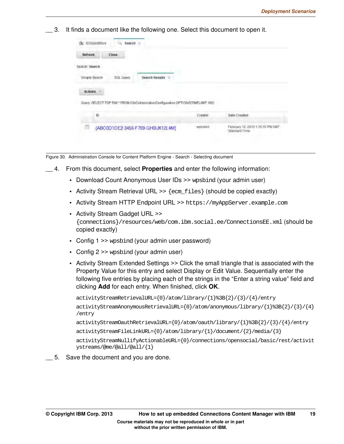3. It finds a document like the following one. Select this document to open it.

| Refresh        | Close     |                                                                                 |         |              |
|----------------|-----------|---------------------------------------------------------------------------------|---------|--------------|
| Search: Search |           |                                                                                 |         |              |
| Simple Search  | SQL Query | <b>Search Results</b><br>٠                                                      |         |              |
| Actions        |           |                                                                                 |         |              |
|                |           |                                                                                 |         |              |
|                |           | Opery. SELECT TOP 500 * FROM CloCollaborationConfiguration OPTIONS(TMEL/MT 180) |         |              |
| it)            |           |                                                                                 | Creator | Date Created |

Figure 30. Administration Console for Content Platform Engine - Search - Selecting document

- \_\_ 4. From this document, select **Properties** and enter the following information:
	- **•** Download Count Anonymous User IDs >> wpsbind (your admin user)
	- Activity Stream Retrieval URL >> {ecm\_files} (should be copied exactly)
	- **•** Activity Stream HTTP Endpoint URL >> https://myAppServer.example.com
	- **•** Activity Stream Gadget URL >> {connections}/resources/web/com.ibm.social.ee/ConnectionsEE.xml (should be copied exactly)
	- **•** Config 1 >> wpsbind (your admin user password)
	- **•** Config 2 >> wpsbind (your admin user)
	- **•** Activity Stream Extended Settings >> Click the small triangle that is associated with the Property Value for this entry and select Display or Edit Value. Sequentially enter the following five entries by placing each of the strings in the "Enter a string value" field and clicking **Add** for each entry. When finished, click **OK**.

```
activityStreamRetrievalURL={0}/atom/library/{1}%3B{2}/{3}/{4}/entry
activityStreamAnonymousRetrievalURL={0}/atom/anonymous/library/{1}%3B{2}/{3}/{4}
/entry
activityStreamOauthRetrievalURL={0}/atom/oauth/library/{1}%3B{2}/{3}/{4}/entry
activityStreamFileLinkURL={0}/atom/library/{1}/document/{2}/media/{3}
activityStreamNullifyActionableURL={0}/connections/opensocial/basic/rest/activit
ystreams/@me/@all/@all/{1}
```
\_\_ 5. Save the document and you are done.

**without the prior written permission of IBM.**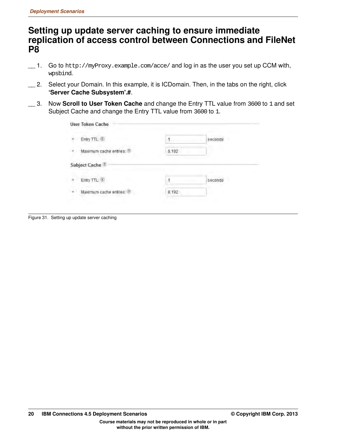### **Setting up update server caching to ensure immediate replication of access control between Connections and FileNet P8**

- \_\_ 1. Go to http://myProxy.example.com/acce/ and log in as the user you set up CCM with, wpsbind.
- \_\_ 2. Select your Domain. In this example, it is ICDomain. Then, in the tabs on the right, click **'Server Cache Subsystem'.#**.
- \_\_ 3. Now **Scroll to User Token Cache** and change the Entry TTL value from 3600 to 1 and set Subject Cache and change the Entry TTL value from 3600 to 1.

| Entry TTL-<br>÷          |       | seconds |
|--------------------------|-------|---------|
| Maximum cache entries: 2 | 8,192 |         |
| Subject Cache            |       |         |
|                          |       | seconds |
| Entry TTL.               |       |         |

Figure 31. Setting up update server caching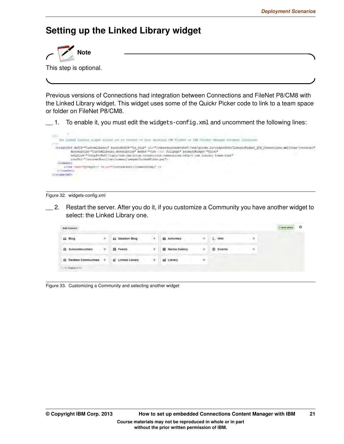## **Setting up the Linked Library widget**



This step is optional.

Previous versions of Connections had integration between Connections and FileNet P8/CM8 with the Linked Library widget. This widget uses some of the Quickr Picker code to link to a team space or folder on FileNet P8/CM8.

 $\_$  1. To enable it, you must edit the widgets-config.xml and uncomment the following lines:



#### Figure 32. widgets-config.xml

\_\_ 2. Restart the server. After you do it, if you customize a Community you have another widget to select: the Linked Library one.

| <b>And Cantons</b>      |   |                         |                          |   |           |   | S'ères added | $\circ$ |
|-------------------------|---|-------------------------|--------------------------|---|-----------|---|--------------|---------|
| 66 Blog                 |   | <b>44 Ideabon Biog</b>  | El Activities            |   | I. Was    |   |              |         |
| Subcommunities          | ٠ | <b>El Feeds</b>         | <b>III</b> Media Gallery |   | 图 fivents | ۰ |              |         |
| G Related Communities + |   | <b>S</b> Linked Library | <b>125 Library</b>       | ٠ |           |   |              |         |
| 11-111 AVAILABLE 17     |   |                         |                          |   |           |   |              |         |

Figure 33. Customizing a Community and selecting another widget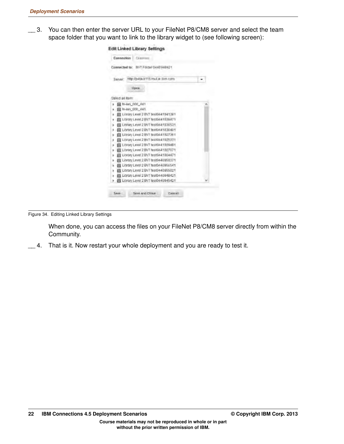\_\_ 3. You can then enter the server URL to your FileNet P8/CM8 server and select the team space folder that you want to link to the library widget to (see following screen):

| <b>Connection</b><br>CENTRAL             |  |
|------------------------------------------|--|
| connected to: BVT Folds/ 0440 848421     |  |
| http://pvidub115.muLié lom com<br>Sannan |  |
| Open                                     |  |
| Select an Rem:                           |  |
| Th-Ian 000, 441                          |  |
| Tab 900 nsi-nl                           |  |
| Library Level 2 BVT fest0441941281       |  |
| Library Level 2 BVT test0441936471       |  |
| Library Level 2 BVT fest0441036531       |  |
| Library Level 2 BVT teet0441030401       |  |
| Library Linuxi 2 BVT test0441927361      |  |
| Literary Level 2 BVT tecloc41925331      |  |
| Library Leval 2 BVT test0441909491       |  |
| Library Level 2 BVT test0441007071       |  |
| Library Level 2 BVT test0441004471       |  |
| Library Level 2 BVT test0440059371       |  |
| Library Level 2 BVT test0440956541       |  |
| Library Level 2 BVT test0440955021       |  |
| Library Level 2 BVT test0440040421       |  |
| Library Level 2 BVT test0440945421       |  |
|                                          |  |
| Save and Close<br><b>Cancel</b><br>Save  |  |

Figure 34. Editing Linked Library Settings

When done, you can access the files on your FileNet P8/CM8 server directly from within the Community.

 $\_\_\_\$ 4. That is it. Now restart your whole deployment and you are ready to test it.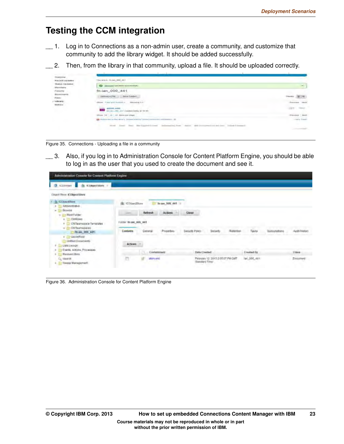### **Testing the CCM integration**

- \_\_ 1. Log in to Connections as a non-admin user, create a community, and customize that community to add the library widget. It should be added successfully.
- \_\_ 2. Then, from the library in that community, upload a file. It should be uploaded correctly.

| Desfalow<br>Plaster(f) 530 stakes              | Writers, Nedall, 000 441                                                  |                          |
|------------------------------------------------|---------------------------------------------------------------------------|--------------------------|
| <b>TRaduce Ligeciature</b><br><b>Marribatu</b> | distributed completely wanted entury.<br>$\infty$                         | $\sim$                   |
| Femmy                                          | fri-ian 000 441                                                           |                          |
| Economete                                      | <b>Block</b>                                                              |                          |
| Film<br>- Library<br>Mehine                    | Visual word francisco, a<br>SERVANTIS 1-1                                 | <b>Howeveral</b>         |
|                                                | entom, ami<br>$\overline{a}$                                              | 曲を<br>$-$                |
|                                                | <b>CIT ANNIH CAY FROM</b><br>$\rightarrow$<br>TRANSVALL<br>$-4$           | Abroom<br><b>PERMITE</b> |
|                                                | All Publishers of the direct Economic Highland Contractor contractors. In | rain lines.              |
|                                                | m<br><b>TELEVISION</b><br><b>The Corporation</b><br>٠                     | <b>Contract Contract</b> |

Figure 35. Connections - Uploading a file in a community

\_\_ 3. Also, if you log in to Administration Console for Content Platform Engine, you should be able to log in as the user that you used to create the document and see it.



Figure 36. Administration Console for Content Platform Engine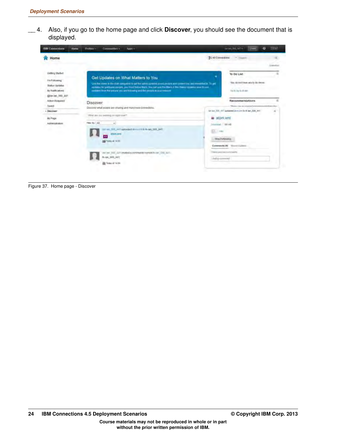\_\_ 4. Also, if you go to the home page and click **Discover**, you should see the document that is displayed.



Figure 37. Home page - Discover